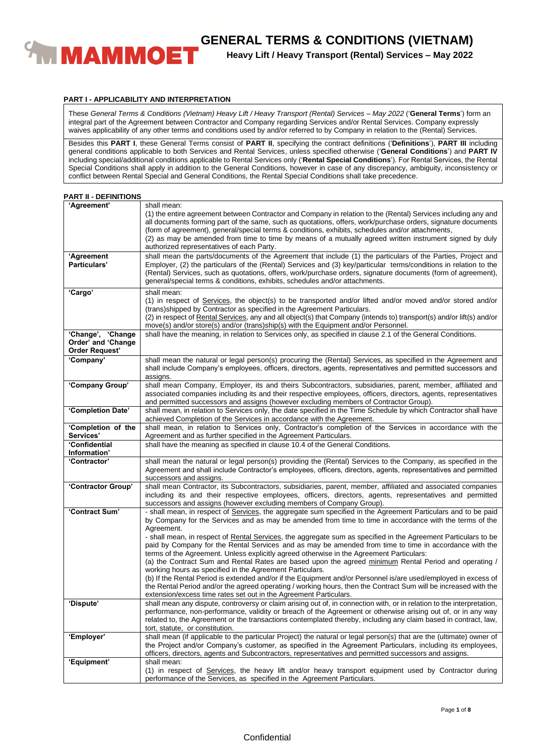

**Heavy Lift / Heavy Transport (Rental) Services – May 2022**

## **PART I - APPLICABILITY AND INTERPRETATION**

These *General Terms & Conditions (Vietnam) Heavy Lift / Heavy Transport (Rental) Services – May 2022* ('**General Terms**') form an integral part of the Agreement between Contractor and Company regarding Services and/or Rental Services. Company expressly waives applicability of any other terms and conditions used by and/or referred to by Company in relation to the (Rental) Services.

Besides this **PART I**, these General Terms consist of **PART II**, specifying the contract definitions ('**Definitions**'), **PART III** including general conditions applicable to both Services and Rental Services, unless specified otherwise ('**General Conditions**') and **PART IV** including special/additional conditions applicable to Rental Services only ('**Rental Special Conditions**'). For Rental Services, the Rental Special Conditions shall apply in addition to the General Conditions, however in case of any discrepancy, ambiguity, inconsistency or conflict between Rental Special and General Conditions, the Rental Special Conditions shall take precedence.

| <b>PART II - DEFINITIONS</b> |  |  |  |  |
|------------------------------|--|--|--|--|
|------------------------------|--|--|--|--|

| 'Agreement'                                                      | shall mean:<br>(1) the entire agreement between Contractor and Company in relation to the (Rental) Services including any and<br>all documents forming part of the same, such as quotations, offers, work/purchase orders, signature documents<br>(form of agreement), general/special terms & conditions, exhibits, schedules and/or attachments,<br>(2) as may be amended from time to time by means of a mutually agreed written instrument signed by duly<br>authorized representatives of each Party. |
|------------------------------------------------------------------|------------------------------------------------------------------------------------------------------------------------------------------------------------------------------------------------------------------------------------------------------------------------------------------------------------------------------------------------------------------------------------------------------------------------------------------------------------------------------------------------------------|
| 'Agreement<br>Particulars'                                       | shall mean the parts/documents of the Agreement that include (1) the particulars of the Parties, Project and<br>Employer, (2) the particulars of the (Rental) Services and (3) key/particular terms/conditions in relation to the<br>(Rental) Services, such as quotations, offers, work/purchase orders, signature documents (form of agreement),<br>general/special terms & conditions, exhibits, schedules and/or attachments.                                                                          |
| 'Cargo'                                                          | shall mean:<br>(1) in respect of Services, the object(s) to be transported and/or lifted and/or moved and/or stored and/or<br>(trans) shipped by Contractor as specified in the Agreement Particulars.<br>(2) in respect of Rental Services, any and all object(s) that Company (intends to) transport(s) and/or lift(s) and/or<br>move(s) and/or store(s) and/or (trans)ship(s) with the Equipment and/or Personnel.                                                                                      |
| 'Change', 'Change<br>Order' and 'Change<br><b>Order Request'</b> | shall have the meaning, in relation to Services only, as specified in clause 2.1 of the General Conditions.                                                                                                                                                                                                                                                                                                                                                                                                |
| 'Company'                                                        | shall mean the natural or legal person(s) procuring the (Rental) Services, as specified in the Agreement and<br>shall include Company's employees, officers, directors, agents, representatives and permitted successors and<br>assigns.                                                                                                                                                                                                                                                                   |
| 'Company Group'                                                  | shall mean Company, Employer, its and theirs Subcontractors, subsidiaries, parent, member, affiliated and<br>associated companies including its and their respective employees, officers, directors, agents, representatives<br>and permitted successors and assigns (however excluding members of Contractor Group).                                                                                                                                                                                      |
| 'Completion Date'                                                | shall mean, in relation to Services only, the date specified in the Time Schedule by which Contractor shall have<br>achieved Completion of the Services in accordance with the Agreement.                                                                                                                                                                                                                                                                                                                  |
| 'Completion of the<br>Services'                                  | shall mean, in relation to Services only, Contractor's completion of the Services in accordance with the<br>Agreement and as further specified in the Agreement Particulars.                                                                                                                                                                                                                                                                                                                               |
| 'Confidential                                                    | shall have the meaning as specified in clause 10.4 of the General Conditions.                                                                                                                                                                                                                                                                                                                                                                                                                              |
| Information'                                                     |                                                                                                                                                                                                                                                                                                                                                                                                                                                                                                            |
| 'Contractor'                                                     | shall mean the natural or legal person(s) providing the (Rental) Services to the Company, as specified in the<br>Agreement and shall include Contractor's employees, officers, directors, agents, representatives and permitted<br>successors and assigns.                                                                                                                                                                                                                                                 |
| 'Contractor Group'                                               | shall mean Contractor, its Subcontractors, subsidiaries, parent, member, affiliated and associated companies<br>including its and their respective employees, officers, directors, agents, representatives and permitted<br>successors and assigns (however excluding members of Company Group).                                                                                                                                                                                                           |
| 'Contract Sum'                                                   | - shall mean, in respect of Services, the aggregate sum specified in the Agreement Particulars and to be paid<br>by Company for the Services and as may be amended from time to time in accordance with the terms of the<br>Agreement.<br>- shall mean, in respect of Rental Services, the aggregate sum as specified in the Agreement Particulars to be<br>paid by Company for the Rental Services and as may be amended from time to time in accordance with the                                         |
|                                                                  | terms of the Agreement. Unless explicitly agreed otherwise in the Agreement Particulars:<br>(a) the Contract Sum and Rental Rates are based upon the agreed minimum Rental Period and operating /<br>working hours as specified in the Agreement Particulars.                                                                                                                                                                                                                                              |
|                                                                  | (b) If the Rental Period is extended and/or if the Equipment and/or Personnel is/are used/employed in excess of<br>the Rental Period and/or the agreed operating / working hours, then the Contract Sum will be increased with the<br>extension/excess time rates set out in the Agreement Particulars.                                                                                                                                                                                                    |
| 'Dispute'                                                        | shall mean any dispute, controversy or claim arising out of, in connection with, or in relation to the interpretation,<br>performance, non-performance, validity or breach of the Agreement or otherwise arising out of, or in any way<br>related to, the Agreement or the transactions contemplated thereby, including any claim based in contract, law,<br>tort, statute, or constitution.                                                                                                               |
| 'Employer'                                                       | shall mean (if applicable to the particular Project) the natural or legal person(s) that are the (ultimate) owner of<br>the Project and/or Company's customer, as specified in the Agreement Particulars, including its employees,<br>officers, directors, agents and Subcontractors, representatives and permitted successors and assigns.                                                                                                                                                                |
| 'Equipment'                                                      | shall mean:                                                                                                                                                                                                                                                                                                                                                                                                                                                                                                |
|                                                                  | (1) in respect of Services, the heavy lift and/or heavy transport equipment used by Contractor during<br>performance of the Services, as specified in the Agreement Particulars.                                                                                                                                                                                                                                                                                                                           |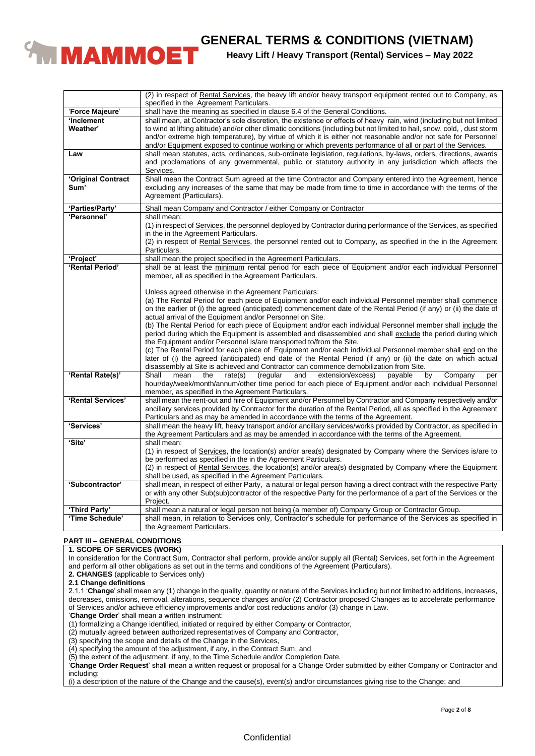

**Heavy Lift / Heavy Transport (Rental) Services – May 2022**

|                            | (2) in respect of Rental Services, the heavy lift and/or heavy transport equipment rented out to Company, as<br>specified in the Agreement Particulars.                                                                                                                                                                                                                                                                                                                            |
|----------------------------|------------------------------------------------------------------------------------------------------------------------------------------------------------------------------------------------------------------------------------------------------------------------------------------------------------------------------------------------------------------------------------------------------------------------------------------------------------------------------------|
| 'Force Majeure'            | shall have the meaning as specified in clause 6.4 of the General Conditions.                                                                                                                                                                                                                                                                                                                                                                                                       |
| 'Inclement<br>Weather'     | shall mean, at Contractor's sole discretion, the existence or effects of heavy rain, wind (including but not limited<br>to wind at lifting altitude) and/or other climatic conditions (including but not limited to hail, snow, cold, , dust storm<br>and/or extreme high temperature), by virtue of which it is either not reasonable and/or not safe for Personnel<br>and/or Equipment exposed to continue working or which prevents performance of all or part of the Services. |
| Law                        | shall mean statutes, acts, ordinances, sub-ordinate legislation, regulations, by-laws, orders, directions, awards<br>and proclamations of any governmental, public or statutory authority in any jurisdiction which affects the<br>Services.                                                                                                                                                                                                                                       |
| 'Original Contract<br>Sum' | Shall mean the Contract Sum agreed at the time Contractor and Company entered into the Agreement, hence<br>excluding any increases of the same that may be made from time to time in accordance with the terms of the<br>Agreement (Particulars).                                                                                                                                                                                                                                  |
| 'Parties/Party'            | Shall mean Company and Contractor / either Company or Contractor                                                                                                                                                                                                                                                                                                                                                                                                                   |
| 'Personnel'                | shall mean:                                                                                                                                                                                                                                                                                                                                                                                                                                                                        |
|                            | (1) in respect of Services, the personnel deployed by Contractor during performance of the Services, as specified<br>in the in the Agreement Particulars.                                                                                                                                                                                                                                                                                                                          |
|                            | (2) in respect of Rental Services, the personnel rented out to Company, as specified in the in the Agreement<br>Particulars.                                                                                                                                                                                                                                                                                                                                                       |
| 'Project'                  | shall mean the project specified in the Agreement Particulars.                                                                                                                                                                                                                                                                                                                                                                                                                     |
| 'Rental Period'            | shall be at least the minimum rental period for each piece of Equipment and/or each individual Personnel<br>member, all as specified in the Agreement Particulars.                                                                                                                                                                                                                                                                                                                 |
|                            | Unless agreed otherwise in the Agreement Particulars:<br>(a) The Rental Period for each piece of Equipment and/or each individual Personnel member shall commence<br>on the earlier of (i) the agreed (anticipated) commencement date of the Rental Period (if any) or (ii) the date of<br>actual arrival of the Equipment and/or Personnel on Site.                                                                                                                               |
|                            | (b) The Rental Period for each piece of Equipment and/or each individual Personnel member shall include the<br>period during which the Equipment is assembled and disassembled and shall exclude the period during which<br>the Equipment and/or Personnel is/are transported to/from the Site.                                                                                                                                                                                    |
|                            | (c) The Rental Period for each piece of Equipment and/or each individual Personnel member shall end on the<br>later of (i) the agreed (anticipated) end date of the Rental Period (if any) or (ii) the date on which actual<br>disassembly at Site is achieved and Contractor can commence demobilization from Site.                                                                                                                                                               |
| 'Rental Rate(s)'           | Shall<br>extension/excess)<br>by<br>Company<br>mean<br>the<br>rate(s)<br>(regular<br>payable<br>and<br>per<br>hour/day/week/month/annum/other time period for each piece of Equipment and/or each individual Personnel<br>member, as specified in the Agreement Particulars.                                                                                                                                                                                                       |
| 'Rental Services'          | shall mean the rent-out and hire of Equipment and/or Personnel by Contractor and Company respectively and/or<br>ancillary services provided by Contractor for the duration of the Rental Period, all as specified in the Agreement<br>Particulars and as may be amended in accordance with the terms of the Agreement.                                                                                                                                                             |
| 'Services'                 | shall mean the heavy lift, heavy transport and/or ancillary services/works provided by Contractor, as specified in<br>the Agreement Particulars and as may be amended in accordance with the terms of the Agreement.                                                                                                                                                                                                                                                               |
| 'Site'                     | shall mean:<br>(1) in respect of Services, the location(s) and/or area(s) designated by Company where the Services is/are to                                                                                                                                                                                                                                                                                                                                                       |
|                            | be performed as specified in the in the Agreement Particulars.<br>(2) in respect of Rental Services, the location(s) and/or area(s) designated by Company where the Equipment<br>shall be used, as specified in the Agreement Particulars.                                                                                                                                                                                                                                         |
| 'Subcontractor'            | shall mean, in respect of either Party, a natural or legal person having a direct contract with the respective Party<br>or with any other Sub(sub)contractor of the respective Party for the performance of a part of the Services or the<br>Project.                                                                                                                                                                                                                              |
| 'Third Party'              | shall mean a natural or legal person not being (a member of) Company Group or Contractor Group.                                                                                                                                                                                                                                                                                                                                                                                    |
| 'Time Schedule'            | shall mean, in relation to Services only, Contractor's schedule for performance of the Services as specified in                                                                                                                                                                                                                                                                                                                                                                    |
|                            | the Agreement Particulars.                                                                                                                                                                                                                                                                                                                                                                                                                                                         |

# **PART III – GENERAL CONDITIONS**

## **1. SCOPE OF SERVICES (WORK)**

In consideration for the Contract Sum, Contractor shall perform, provide and/or supply all (Rental) Services, set forth in the Agreement and perform all other obligations as set out in the terms and conditions of the Agreement (Particulars).

**2. CHANGES** (applicable to Services only)

**2.1 Change definitions**

2.1.1 '**Change**' shall mean any (1) change in the quality, quantity or nature of the Services including but not limited to additions, increases, decreases, omissions, removal, alterations, sequence changes and/or (2) Contractor proposed Changes as to accelerate performance of Services and/or achieve efficiency improvements and/or cost reductions and/or (3) change in Law.

'**Change Order**' shall mean a written instrument:

(1) formalizing a Change identified, initiated or required by either Company or Contractor,

(2) mutually agreed between authorized representatives of Company and Contractor,

(3) specifying the scope and details of the Change in the Services,

(4) specifying the amount of the adjustment, if any, in the Contract Sum, and

(5) the extent of the adjustment, if any, to the Time Schedule and/or Completion Date.

'**Change Order Request**' shall mean a written request or proposal for a Change Order submitted by either Company or Contractor and including:

(i) a description of the nature of the Change and the cause(s), event(s) and/or circumstances giving rise to the Change; and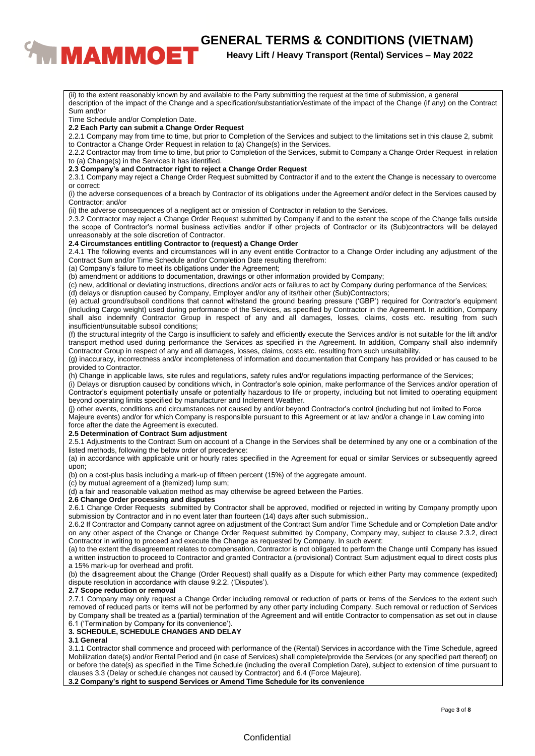# **CENERAL TERMS & CONDITIONS (VIETNAM)**<br>**Reavy Lift / Heavy Transport (Rental) Services – May 2022**

# **Heavy Lift / Heavy Transport (Rental) Services – May 2022**

(ii) to the extent reasonably known by and available to the Party submitting the request at the time of submission, a general description of the impact of the Change and a specification/substantiation/estimate of the impact of the Change (if any) on the Contract Sum and/or Time Schedule and/or Completion Date. **2.2 Each Party can submit a Change Order Request** 2.2.1 Company may from time to time, but prior to Completion of the Services and subject to the limitations set in this clause 2, submit to Contractor a Change Order Request in relation to (a) Change(s) in the Services. 2.2.2 Contractor may from time to time, but prior to Completion of the Services, submit to Company a Change Order Request in relation to (a) Change(s) in the Services it has identified. **2.3 Company's and Contractor right to reject a Change Order Request** 2.3.1 Company may reject a Change Order Request submitted by Contractor if and to the extent the Change is necessary to overcome or correct: (i) the adverse consequences of a breach by Contractor of its obligations under the Agreement and/or defect in the Services caused by Contractor; and/or (ii) the adverse consequences of a negligent act or omission of Contractor in relation to the Services. 2.3.2 Contractor may reject a Change Order Request submitted by Company if and to the extent the scope of the Change falls outside the scope of Contractor's normal business activities and/or if other projects of Contractor or its (Sub)contractors will be delayed unreasonably at the sole discretion of Contractor. **2.4 Circumstances entitling Contractor to (request) a Change Order** 2.4.1 The following events and circumstances will in any event entitle Contractor to a Change Order including any adjustment of the Contract Sum and/or Time Schedule and/or Completion Date resulting therefrom: (a) Company's failure to meet its obligations under the Agreement; (b) amendment or additions to documentation, drawings or other information provided by Company; (c) new, additional or deviating instructions, directions and/or acts or failures to act by Company during performance of the Services; (d) delays or disruption caused by Company, Employer and/or any of its/their other (Sub)Contractors; (e) actual ground/subsoil conditions that cannot withstand the ground bearing pressure ('GBP') required for Contractor's equipment (including Cargo weight) used during performance of the Services, as specified by Contractor in the Agreement. In addition, Company shall also indemnify Contractor Group in respect of any and all damages, losses, claims, costs etc. resulting from such insufficient/unsuitable subsoil conditions; (f) the structural integrity of the Cargo is insufficient to safely and efficiently execute the Services and/or is not suitable for the lift and/or transport method used during performance the Services as specified in the Agreement. In addition, Company shall also indemnify Contractor Group in respect of any and all damages, losses, claims, costs etc. resulting from such unsuitability. (g) inaccuracy, incorrectness and/or incompleteness of information and documentation that Company has provided or has caused to be provided to Contractor. (h) Change in applicable laws, site rules and regulations, safety rules and/or regulations impacting performance of the Services; (i) Delays or disruption caused by conditions which, in Contractor's sole opinion, make performance of the Services and/or operation of Contractor's equipment potentially unsafe or potentially hazardous to life or property, including but not limited to operating equipment beyond operating limits specified by manufacturer and Inclement Weather. (j) other events, conditions and circumstances not caused by and/or beyond Contractor's control (including but not limited to Force Majeure events) and/or for which Company is responsible pursuant to this Agreement or at law and/or a change in Law coming into force after the date the Agreement is executed. **2.5 Determination of Contract Sum adjustment** 2.5.1 Adjustments to the Contract Sum on account of a Change in the Services shall be determined by any one or a combination of the listed methods, following the below order of precedence: (a) in accordance with applicable unit or hourly rates specified in the Agreement for equal or similar Services or subsequently agreed upon; (b) on a cost-plus basis including a mark-up of fifteen percent (15%) of the aggregate amount. (c) by mutual agreement of a (itemized) lump sum; (d) a fair and reasonable valuation method as may otherwise be agreed between the Parties. **2.6 Change Order processing and disputes** 2.6.1 Change Order Requests submitted by Contractor shall be approved, modified or rejected in writing by Company promptly upon submission by Contractor and in no event later than fourteen (14) days after such submission.. 2.6.2 If Contractor and Company cannot agree on adjustment of the Contract Sum and/or Time Schedule and or Completion Date and/or on any other aspect of the Change or Change Order Request submitted by Company, Company may, subject to clause 2.3.2, direct Contractor in writing to proceed and execute the Change as requested by Company. In such event: (a) to the extent the disagreement relates to compensation, Contractor is not obligated to perform the Change until Company has issued a written instruction to proceed to Contractor and granted Contractor a (provisional) Contract Sum adjustment equal to direct costs plus a 15% mark-up for overhead and profit. (b) the disagreement about the Change (Order Request) shall qualify as a Dispute for which either Party may commence (expedited) dispute resolution in accordance with clause 9.2.2. ('Disputes'). **2.7 Scope reduction or removal** 2.7.1 Company may only request a Change Order including removal or reduction of parts or items of the Services to the extent such removed of reduced parts or items will not be performed by any other party including Company. Such removal or reduction of Services by Company shall be treated as a (partial) termination of the Agreement and will entitle Contractor to compensation as set out in clause 6.1 ('Termination by Company for its convenience'). **3. SCHEDULE, SCHEDULE CHANGES AND DELAY 3.1 General** 3.1.1 Contractor shall commence and proceed with performance of the (Rental) Services in accordance with the Time Schedule, agreed Mobilization date(s) and/or Rental Period and (in case of Services) shall complete/provide the Services (or any specified part thereof) on or before the date(s) as specified in the Time Schedule (including the overall Completion Date), subject to extension of time pursuant to clauses 3.3 (Delay or schedule changes not caused by Contractor) and 6.4 (Force Majeure).

**3.2 Company's right to suspend Services or Amend Time Schedule for its convenience**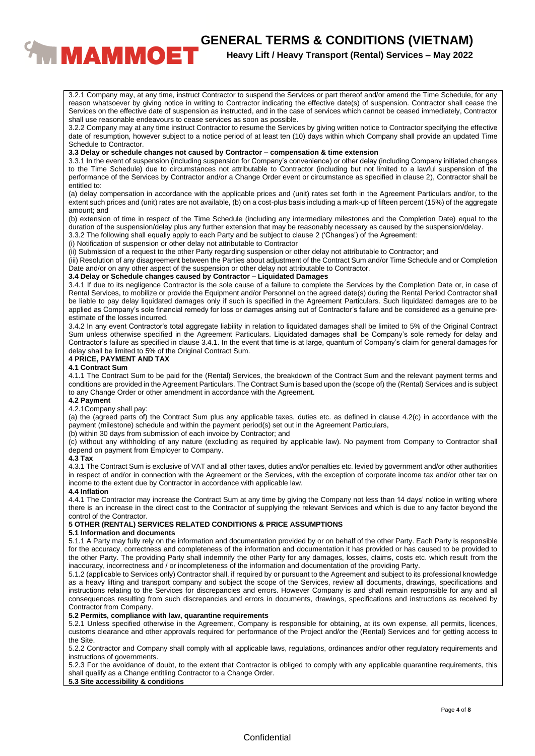# **CENERAL TERMS & CONDITIONS (VIETNAM)**<br>**Reavy Lift / Heavy Transport (Rental) Services – May 2022**

**Heavy Lift / Heavy Transport (Rental) Services – May 2022**

3.2.1 Company may, at any time, instruct Contractor to suspend the Services or part thereof and/or amend the Time Schedule, for any reason whatsoever by giving notice in writing to Contractor indicating the effective date(s) of suspension. Contractor shall cease the Services on the effective date of suspension as instructed, and in the case of services which cannot be ceased immediately, Contractor shall use reasonable endeavours to cease services as soon as possible.

3.2.2 Company may at any time instruct Contractor to resume the Services by giving written notice to Contractor specifying the effective date of resumption, however subject to a notice period of at least ten (10) days within which Company shall provide an updated Time Schedule to Contractor.

#### **3.3 Delay or schedule changes not caused by Contractor – compensation & time extension**

3.3.1 In the event of suspension (including suspension for Company's convenience) or other delay (including Company initiated changes to the Time Schedule) due to circumstances not attributable to Contractor (including but not limited to a lawful suspension of the performance of the Services by Contractor and/or a Change Order event or circumstance as specified in clause 2), Contractor shall be entitled to:

(a) delay compensation in accordance with the applicable prices and (unit) rates set forth in the Agreement Particulars and/or, to the extent such prices and (unit) rates are not available, (b) on a cost-plus basis including a mark-up of fifteen percent (15%) of the aggregate amount; and

(b) extension of time in respect of the Time Schedule (including any intermediary milestones and the Completion Date) equal to the duration of the suspension/delay plus any further extension that may be reasonably necessary as caused by the suspension/delay.

3.3.2 The following shall equally apply to each Party and be subject to clause 2 ('Changes') of the Agreement:

(i) Notification of suspension or other delay not attributable to Contractor

(ii) Submission of a request to the other Party regarding suspension or other delay not attributable to Contractor; and

(iii) Resolution of any disagreement between the Parties about adjustment of the Contract Sum and/or Time Schedule and or Completion Date and/or on any other aspect of the suspension or other delay not attributable to Contractor.

### **3.4 Delay or Schedule changes caused by Contractor – Liquidated Damages**

3.4.1 If due to its negligence Contractor is the sole cause of a failure to complete the Services by the Completion Date or, in case of Rental Services, to mobilize or provide the Equipment and/or Personnel on the agreed date(s) during the Rental Period Contractor shall be liable to pay delay liquidated damages only if such is specified in the Agreement Particulars. Such liquidated damages are to be applied as Company's sole financial remedy for loss or damages arising out of Contractor's failure and be considered as a genuine preestimate of the losses incurred.

3.4.2 In any event Contractor's total aggregate liability in relation to liquidated damages shall be limited to 5% of the Original Contract Sum unless otherwise specified in the Agreement Particulars. Liquidated damages shall be Company's sole remedy for delay and Contractor's failure as specified in clause 3.4.1. In the event that time is at large, quantum of Company's claim for general damages for delay shall be limited to 5% of the Original Contract Sum.

#### **4 PRICE, PAYMENT AND TAX**

#### **4.1 Contract Sum**

4.1.1 The Contract Sum to be paid for the (Rental) Services, the breakdown of the Contract Sum and the relevant payment terms and conditions are provided in the Agreement Particulars. The Contract Sum is based upon the (scope of) the (Rental) Services and is subject to any Change Order or other amendment in accordance with the Agreement.

#### **4.2 Payment**

#### 4.2.1Company shall pay:

(a) the (agreed parts of) the Contract Sum plus any applicable taxes, duties etc. as defined in clause 4.2(c) in accordance with the payment (milestone) schedule and within the payment period(s) set out in the Agreement Particulars,

(b) within 30 days from submission of each invoice by Contractor; and

(c) without any withholding of any nature (excluding as required by applicable law). No payment from Company to Contractor shall depend on payment from Employer to Company.

#### **4.3 Tax**

4.3.1 The Contract Sum is exclusive of VAT and all other taxes, duties and/or penalties etc. levied by government and/or other authorities in respect of and/or in connection with the Agreement or the Services, with the exception of corporate income tax and/or other tax on income to the extent due by Contractor in accordance with applicable law.

#### **4.4 Inflation**

4.4.1 The Contractor may increase the Contract Sum at any time by giving the Company not less than 14 days' notice in writing where there is an increase in the direct cost to the Contractor of supplying the relevant Services and which is due to any factor beyond the control of the Contractor.

## **5 OTHER (RENTAL) SERVICES RELATED CONDITIONS & PRICE ASSUMPTIONS**

#### **5.1 Information and documents**

5.1.1 A Party may fully rely on the information and documentation provided by or on behalf of the other Party. Each Party is responsible for the accuracy, correctness and completeness of the information and documentation it has provided or has caused to be provided to the other Party. The providing Party shall indemnify the other Party for any damages, losses, claims, costs etc. which result from the inaccuracy, incorrectness and / or incompleteness of the information and documentation of the providing Party.

5.1.2 (applicable to Services only) Contractor shall, if required by or pursuant to the Agreement and subject to its professional knowledge as a heavy lifting and transport company and subject the scope of the Services, review all documents, drawings, specifications and instructions relating to the Services for discrepancies and errors. However Company is and shall remain responsible for any and all consequences resulting from such discrepancies and errors in documents, drawings, specifications and instructions as received by Contractor from Company.

# **5.2 Permits, compliance with law, quarantine requirements**

5.2.1 Unless specified otherwise in the Agreement, Company is responsible for obtaining, at its own expense, all permits, licences, customs clearance and other approvals required for performance of the Project and/or the (Rental) Services and for getting access to the Site.

5.2.2 Contractor and Company shall comply with all applicable laws, regulations, ordinances and/or other regulatory requirements and instructions of governments.

5.2.3 For the avoidance of doubt, to the extent that Contractor is obliged to comply with any applicable quarantine requirements, this shall qualify as a Change entitling Contractor to a Change Order.

# **5.3 Site accessibility & conditions**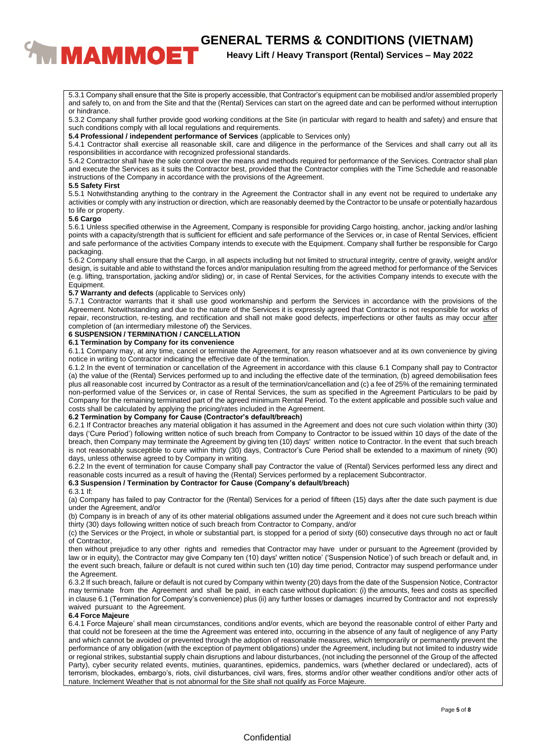# **EXAMPLE THE GENERAL TERMS & CONDITIONS (VIETNAM)**<br><sup>Heavy Lift / Heavy Transport (Rental) Services – May 2022</sup>

# **Heavy Lift / Heavy Transport (Rental) Services – May 2022**

5.3.1 Company shall ensure that the Site is properly accessible, that Contractor's equipment can be mobilised and/or assembled properly and safely to, on and from the Site and that the (Rental) Services can start on the agreed date and can be performed without interruption or hindrance.

5.3.2 Company shall further provide good working conditions at the Site (in particular with regard to health and safety) and ensure that such conditions comply with all local regulations and requirements.

**5.4 Professional / independent performance of Services** (applicable to Services only)

5.4.1 Contractor shall exercise all reasonable skill, care and diligence in the performance of the Services and shall carry out all its responsibilities in accordance with recognized professional standards.

5.4.2 Contractor shall have the sole control over the means and methods required for performance of the Services. Contractor shall plan and execute the Services as it suits the Contractor best, provided that the Contractor complies with the Time Schedule and reasonable instructions of the Company in accordance with the provisions of the Agreement.

#### **5.5 Safety First**

5.5.1 Notwithstanding anything to the contrary in the Agreement the Contractor shall in any event not be required to undertake any activities or comply with any instruction or direction, which are reasonably deemed by the Contractor to be unsafe or potentially hazardous to life or property.

#### **5.6 Cargo**

5.6.1 Unless specified otherwise in the Agreement, Company is responsible for providing Cargo hoisting, anchor, jacking and/or lashing points with a capacity/strength that is sufficient for efficient and safe performance of the Services or, in case of Rental Services, efficient and safe performance of the activities Company intends to execute with the Equipment. Company shall further be responsible for Cargo packaging.

5.6.2 Company shall ensure that the Cargo, in all aspects including but not limited to structural integrity, centre of gravity, weight and/or design, is suitable and able to withstand the forces and/or manipulation resulting from the agreed method for performance of the Services (e.g. lifting, transportation, jacking and/or sliding) or, in case of Rental Services, for the activities Company intends to execute with the Equipment.

#### **5.7 Warranty and defects** (applicable to Services only)

5.7.1 Contractor warrants that it shall use good workmanship and perform the Services in accordance with the provisions of the Agreement. Notwithstanding and due to the nature of the Services it is expressly agreed that Contractor is not responsible for works of repair, reconstruction, re-testing, and rectification and shall not make good defects, imperfections or other faults as may occur after completion of (an intermediary milestone of) the Services.

## **6 SUSPENSION / TERMINATION / CANCELLATION**

# **6.1 Termination by Company for its convenience**

6.1.1 Company may, at any time, cancel or terminate the Agreement, for any reason whatsoever and at its own convenience by giving notice in writing to Contractor indicating the effective date of the termination.

6.1.2 In the event of termination or cancellation of the Agreement in accordance with this clause 6.1 Company shall pay to Contractor (a) the value of the (Rental) Services performed up to and including the effective date of the termination, (b) agreed demobilisation fees plus all reasonable cost incurred by Contractor as a result of the termination/cancellation and (c) a fee of 25% of the remaining terminated non-performed value of the Services or, in case of Rental Services, the sum as specified in the Agreement Particulars to be paid by Company for the remaining terminated part of the agreed minimum Rental Period. To the extent applicable and possible such value and costs shall be calculated by applying the pricing/rates included in the Agreement.

#### **6.2 Termination by Company for Cause (Contractor's default/breach)**

6.2.1 If Contractor breaches any material obligation it has assumed in the Agreement and does not cure such violation within thirty (30) days ('Cure Period') following written notice of such breach from Company to Contractor to be issued within 10 days of the date of the breach, then Company may terminate the Agreement by giving ten (10) days' written notice to Contractor. ln the event that such breach is not reasonably susceptible to cure within thirty (30) days, Contractor's Cure Period shall be extended to a maximum of ninety (90) days, unless otherwise agreed to by Company in writing.

6.2.2 In the event of termination for cause Company shall pay Contractor the value of (Rental) Services performed less any direct and reasonable costs incurred as a result of having the (Rental) Services performed by a replacement Subcontractor.

#### **6.3 Suspension / Termination by Contractor for Cause (Company's default/breach)**

#### 6.3.1 If:

(a) Company has failed to pay Contractor for the (Rental) Services for a period of fifteen (15) days after the date such payment is due under the Agreement, and/or

(b) Company is in breach of any of its other material obligations assumed under the Agreement and it does not cure such breach within thirty (30) days following written notice of such breach from Contractor to Company, and/or

(c) the Services or the Project, in whole or substantial part, is stopped for a period of sixty (60) consecutive days through no act or fault of Contractor,

then without prejudice to any other rights and remedies that Contractor may have under or pursuant to the Agreement (provided by law or in equity), the Contractor may give Company ten (10) days' written notice' ('Suspension Notice') of such breach or default and, in the event such breach, failure or default is not cured within such ten (10) day time period, Contractor may suspend performance under the Agreement.

6.3.2 If such breach, failure or default is not cured by Company within twenty (20) days from the date of the Suspension Notice, Contractor may terminate from the Agreement and shall be paid, in each case without duplication: (i) the amounts, fees and costs as specified in clause 6.1 (Termination for Company's convenience) plus (ii) any further losses or damages incurred by Contractor and not expressly waived pursuant to the Agreement.

## **6.4 Force Majeure**

6.4.1 Force Majeure' shall mean circumstances, conditions and/or events, which are beyond the reasonable control of either Party and that could not be foreseen at the time the Agreement was entered into, occurring in the absence of any fault of negligence of any Party and which cannot be avoided or prevented through the adoption of reasonable measures, which temporarily or permanently prevent the performance of any obligation (with the exception of payment obligations) under the Agreement, including but not limited to industry wide or regional strikes, substantial supply chain disruptions and labour disturbances, (not including the personnel of the Group of the affected Party), cyber security related events, mutinies, quarantines, epidemics, pandemics, wars (whether declared or undeclared), acts of terrorism, blockades, embargo's, riots, civil disturbances, civil wars, fires, storms and/or other weather conditions and/or other acts of nature. Inclement Weather that is not abnormal for the Site shall not qualify as Force Majeure.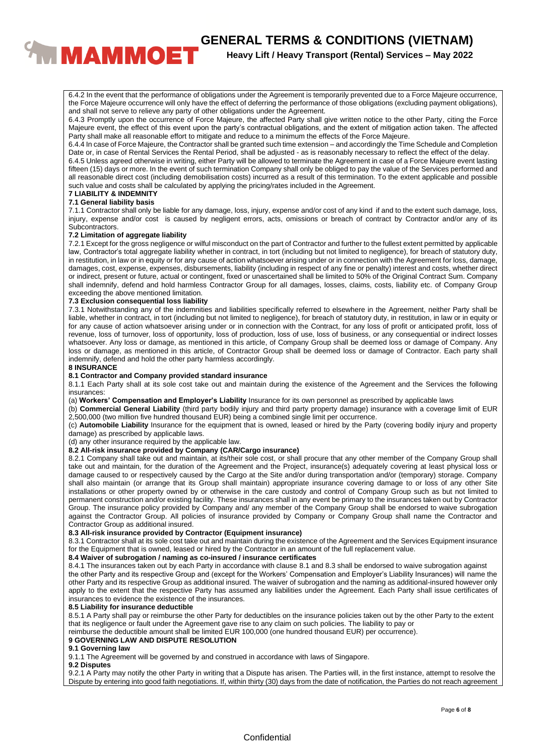**CENERAL TERMS & CONDITIONS (VIETNAM)**<br>**EXAMPLIE:** Heavy Lift / Heavy Transport (Rental) Services – May 2022

# **Heavy Lift / Heavy Transport (Rental) Services – May 2022**

6.4.2 In the event that the performance of obligations under the Agreement is temporarily prevented due to a Force Majeure occurrence, the Force Majeure occurrence will only have the effect of deferring the performance of those obligations (excluding payment obligations), and shall not serve to relieve any party of other obligations under the Agreement.

6.4.3 Promptly upon the occurrence of Force Majeure, the affected Party shall give written notice to the other Party, citing the Force Majeure event, the effect of this event upon the party's contractual obligations, and the extent of mitigation action taken. The affected Party shall make all reasonable effort to mitigate and reduce to a minimum the effects of the Force Majeure.

6.4.4 In case of Force Majeure, the Contractor shall be granted such time extension – and accordingly the Time Schedule and Completion Date or, in case of Rental Services the Rental Period, shall be adjusted - as is reasonably necessary to reflect the effect of the delay.

6.4.5 Unless agreed otherwise in writing, either Party will be allowed to terminate the Agreement in case of a Force Majeure event lasting fifteen (15) days or more. In the event of such termination Company shall only be obliged to pay the value of the Services performed and all reasonable direct cost (including demobilisation costs) incurred as a result of this termination. To the extent applicable and possible such value and costs shall be calculated by applying the pricing/rates included in the Agreement.

#### **7 LIABILITY & INDEMNITY 7.1 General liability basis**

7.1.1 Contractor shall only be liable for any damage, loss, injury, expense and/or cost of any kind if and to the extent such damage, loss, injury, expense and/or cost is caused by negligent errors, acts, omissions or breach of contract by Contractor and/or any of its Subcontractors.

#### **7.2 Limitation of aggregate liability**

7.2.1 Except for the gross negligence or wilful misconduct on the part of Contractor and further to the fullest extent permitted by applicable law, Contractor's total aggregate liability whether in contract, in tort (including but not limited to negligence), for breach of statutory duty, in restitution, in law or in equity or for any cause of action whatsoever arising under or in connection with the Agreement for loss, damage, damages, cost, expense, expenses, disbursements, liability (including in respect of any fine or penalty) interest and costs, whether direct or indirect, present or future, actual or contingent, fixed or unascertained shall be limited to 50% of the Original Contract Sum. Company shall indemnify, defend and hold harmless Contractor Group for all damages, losses, claims, costs, liability etc. of Company Group exceeding the above mentioned limitation.

#### **7.3 Exclusion consequential loss liability**

7.3.1 Notwithstanding any of the indemnities and liabilities specifically referred to elsewhere in the Agreement, neither Party shall be liable, whether in contract, in tort (including but not limited to negligence), for breach of statutory duty, in restitution, in law or in equity or for any cause of action whatsoever arising under or in connection with the Contract, for any loss of profit or anticipated profit, loss of revenue, loss of turnover, loss of opportunity, loss of production, loss of use, loss of business, or any consequential or indirect losses whatsoever. Any loss or damage, as mentioned in this article, of Company Group shall be deemed loss or damage of Company. Any loss or damage, as mentioned in this article, of Contractor Group shall be deemed loss or damage of Contractor. Each party shall indemnify, defend and hold the other party harmless accordingly.

#### **8 INSURANCE**

#### **8.1 Contractor and Company provided standard insurance**

8.1.1 Each Party shall at its sole cost take out and maintain during the existence of the Agreement and the Services the following insurances:

(a) **Workers' Compensation and Employer's Liability** Insurance for its own personnel as prescribed by applicable laws

(b) **Commercial General Liability** (third party bodily injury and third party property damage) insurance with a coverage limit of EUR 2,500,000 (two million five hundred thousand EUR) being a combined single limit per occurrence.

(c) **Automobile Liability** Insurance for the equipment that is owned, leased or hired by the Party (covering bodily injury and property damage) as prescribed by applicable laws.

(d) any other insurance required by the applicable law.

#### **8.2 All-risk insurance provided by Company (CAR/Cargo insurance)**

8.2.1 Company shall take out and maintain, at its/their sole cost, or shall procure that any other member of the Company Group shall take out and maintain, for the duration of the Agreement and the Project, insurance(s) adequately covering at least physical loss or damage caused to or respectively caused by the Cargo at the Site and/or during transportation and/or (temporary) storage. Company shall also maintain (or arrange that its Group shall maintain) appropriate insurance covering damage to or loss of any other Site installations or other property owned by or otherwise in the care custody and control of Company Group such as but not limited to permanent construction and/or existing facility. These insurances shall in any event be primary to the insurances taken out by Contractor Group. The insurance policy provided by Company and/ any member of the Company Group shall be endorsed to waive subrogation against the Contractor Group. All policies of insurance provided by Company or Company Group shall name the Contractor and Contractor Group as additional insured.

# **8.3 All-risk insurance provided by Contractor (Equipment insurance)**

8.3.1 Contractor shall at its sole cost take out and maintain during the existence of the Agreement and the Services Equipment insurance for the Equipment that is owned, leased or hired by the Contractor in an amount of the full replacement value.

#### **8.4 Waiver of subrogation / naming as co-insured / insurance certificates**

8.4.1 The insurances taken out by each Party in accordance with clause 8.1 and 8.3 shall be endorsed to waive subrogation against the other Party and its respective Group and (except for the Workers' Compensation and Employer's Liability Insurances) will name the other Party and its respective Group as additional insured. The waiver of subrogation and the naming as additional-insured however only apply to the extent that the respective Party has assumed any liabilities under the Agreement. Each Party shall issue certificates of insurances to evidence the existence of the insurances.

#### **8.5 Liability for insurance deductible**

8.5.1 A Party shall pay or reimburse the other Party for deductibles on the insurance policies taken out by the other Party to the extent that its negligence or fault under the Agreement gave rise to any claim on such policies. The liability to pay or

reimburse the deductible amount shall be limited EUR 100,000 (one hundred thousand EUR) per occurrence).

#### **9 GOVERNING LAW AND DISPUTE RESOLUTION**

#### **9.1 Governing law**

9.1.1 The Agreement will be governed by and construed in accordance with laws of Singapore.

#### **9.2 Disputes**

9.2.1 A Party may notify the other Party in writing that a Dispute has arisen. The Parties will, in the first instance, attempt to resolve the Dispute by entering into good faith negotiations. If, within thirty (30) days from the date of notification, the Parties do not reach agreement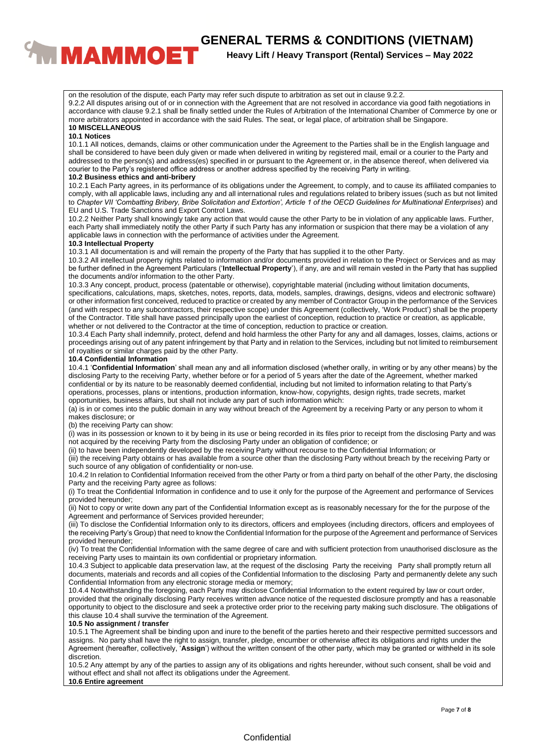

**Heavy Lift / Heavy Transport (Rental) Services – May 2022**

on the resolution of the dispute, each Party may refer such dispute to arbitration as set out in clause 9.2.2.

9.2.2 All disputes arising out of or in connection with the Agreement that are not resolved in accordance via good faith negotiations in accordance with clause 9.2.1 shall be finally settled under the Rules of Arbitration of the International Chamber of Commerce by one or more arbitrators appointed in accordance with the said Rules. The seat, or legal place, of arbitration shall be Singapore. **10 MISCELLANEOUS**

# **10.1 Notices**

10.1.1 All notices, demands, claims or other communication under the Agreement to the Parties shall be in the English language and shall be considered to have been duly given or made when delivered in writing by registered mail, email or a courier to the Party and addressed to the person(s) and address(es) specified in or pursuant to the Agreement or, in the absence thereof, when delivered via courier to the Party's registered office address or another address specified by the receiving Party in writing.

#### **10.2 Business ethics and anti-bribery**

10.2.1 Each Party agrees, in its performance of its obligations under the Agreement, to comply, and to cause its affiliated companies to comply, with all applicable laws, including any and all international rules and regulations related to bribery issues (such as but not limited to *Chapter VII 'Combatting Bribery, Bribe Solicitation and Extortion', Article 1 of the OECD Guidelines for Multinational Enterprises*) and EU and U.S. Trade Sanctions and Export Control Laws.

10.2.2 Neither Party shall knowingly take any action that would cause the other Party to be in violation of any applicable laws. Further, each Party shall immediately notify the other Party if such Party has any information or suspicion that there may be a violation of any applicable laws in connection with the performance of activities under the Agreement.

#### **10.3 Intellectual Property**

10.3.1 All documentation is and will remain the property of the Party that has supplied it to the other Party.

10.3.2 All intellectual property rights related to information and/or documents provided in relation to the Project or Services and as may be further defined in the Agreement Particulars ('**Intellectual Property**'), if any, are and will remain vested in the Party that has supplied the documents and/or information to the other Party.

10.3.3 Any concept, product, process (patentable or otherwise), copyrightable material (including without limitation documents, specifications, calculations, maps, sketches, notes, reports, data, models, samples, drawings, designs, videos and electronic software) or other information first conceived, reduced to practice or created by any member of Contractor Group in the performance of the Services (and with respect to any subcontractors, their respective scope) under this Agreement (collectively, 'Work Product') shall be the property of the Contractor. Title shall have passed principally upon the earliest of conception, reduction to practice or creation, as applicable, whether or not delivered to the Contractor at the time of conception, reduction to practice or creation.

10.3.4 Each Party shall indemnify, protect, defend and hold harmless the other Party for any and all damages, losses, claims, actions or proceedings arising out of any patent infringement by that Party and in relation to the Services, including but not limited to reimbursement of royalties or similar charges paid by the other Party.

#### **10.4 Confidential Information**

10.4.1 '**Confidential Information**' shall mean any and all information disclosed (whether orally, in writing or by any other means) by the disclosing Party to the receiving Party, whether before or for a period of 5 years after the date of the Agreement, whether marked confidential or by its nature to be reasonably deemed confidential, including but not limited to information relating to that Party's operations, processes, plans or intentions, production information, know-how, copyrights, design rights, trade secrets, market opportunities, business affairs, but shall not include any part of such information which:

(a) is in or comes into the public domain in any way without breach of the Agreement by a receiving Party or any person to whom it makes disclosure; or

(b) the receiving Party can show:

(i) was in its possession or known to it by being in its use or being recorded in its files prior to receipt from the disclosing Party and was not acquired by the receiving Party from the disclosing Party under an obligation of confidence; or

(ii) to have been independently developed by the receiving Party without recourse to the Confidential Information; or

(iii) the receiving Party obtains or has available from a source other than the disclosing Party without breach by the receiving Party or such source of any obligation of confidentiality or non-use.

10.4.2 In relation to Confidential Information received from the other Party or from a third party on behalf of the other Party, the disclosing Party and the receiving Party agree as follows:

(i) To treat the Confidential Information in confidence and to use it only for the purpose of the Agreement and performance of Services provided hereunder;

(ii) Not to copy or write down any part of the Confidential Information except as is reasonably necessary for the for the purpose of the Agreement and performance of Services provided hereunder;

(iii) To disclose the Confidential Information only to its directors, officers and employees (including directors, officers and employees of the receiving Party's Group) that need to know the Confidential Information for the purpose of the Agreement and performance of Services provided hereunder;

(iv) To treat the Confidential Information with the same degree of care and with sufficient protection from unauthorised disclosure as the receiving Party uses to maintain its own confidential or proprietary information.

10.4.3 Subject to applicable data preservation law, at the request of the disclosing Party the receiving Party shall promptly return all documents, materials and records and all copies of the Confidential Information to the disclosing Party and permanently delete any such Confidential Information from any electronic storage media or memory;

10.4.4 Notwithstanding the foregoing, each Party may disclose Confidential Information to the extent required by law or court order, provided that the originally disclosing Party receives written advance notice of the requested disclosure promptly and has a reasonable opportunity to object to the disclosure and seek a protective order prior to the receiving party making such disclosure. The obligations of this clause 10.4 shall survive the termination of the Agreement.

## **10.5 No assignment / transfer**

10.5.1 The Agreement shall be binding upon and inure to the benefit of the parties hereto and their respective permitted successors and assigns. No party shall have the right to assign, transfer, pledge, encumber or otherwise affect its obligations and rights under the Agreement (hereafter, collectively, '**Assign**') without the written consent of the other party, which may be granted or withheld in its sole discretion.

10.5.2 Any attempt by any of the parties to assign any of its obligations and rights hereunder, without such consent, shall be void and without effect and shall not affect its obligations under the Agreement.

#### **10.6 Entire agreement**